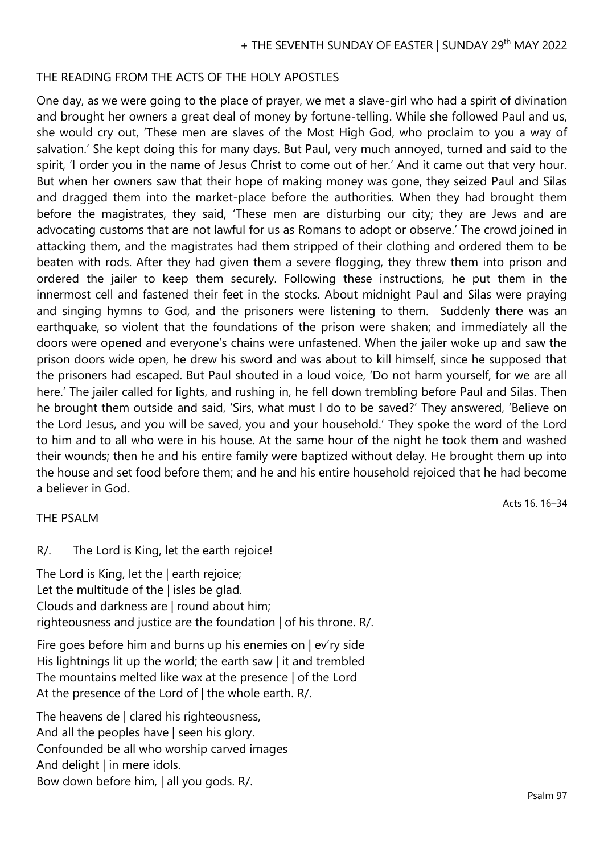## THE READING FROM THE ACTS OF THE HOLY APOSTLES

One day, as we were going to the place of prayer, we met a slave-girl who had a spirit of divination and brought her owners a great deal of money by fortune-telling. While she followed Paul and us, she would cry out, 'These men are slaves of the Most High God, who proclaim to you a way of salvation.' She kept doing this for many days. But Paul, very much annoyed, turned and said to the spirit, 'I order you in the name of Jesus Christ to come out of her.' And it came out that very hour. But when her owners saw that their hope of making money was gone, they seized Paul and Silas and dragged them into the market-place before the authorities. When they had brought them before the magistrates, they said, 'These men are disturbing our city; they are Jews and are advocating customs that are not lawful for us as Romans to adopt or observe.' The crowd joined in attacking them, and the magistrates had them stripped of their clothing and ordered them to be beaten with rods. After they had given them a severe flogging, they threw them into prison and ordered the jailer to keep them securely. Following these instructions, he put them in the innermost cell and fastened their feet in the stocks. About midnight Paul and Silas were praying and singing hymns to God, and the prisoners were listening to them. Suddenly there was an earthquake, so violent that the foundations of the prison were shaken; and immediately all the doors were opened and everyone's chains were unfastened. When the jailer woke up and saw the prison doors wide open, he drew his sword and was about to kill himself, since he supposed that the prisoners had escaped. But Paul shouted in a loud voice, 'Do not harm yourself, for we are all here.' The jailer called for lights, and rushing in, he fell down trembling before Paul and Silas. Then he brought them outside and said, 'Sirs, what must I do to be saved?' They answered, 'Believe on the Lord Jesus, and you will be saved, you and your household.' They spoke the word of the Lord to him and to all who were in his house. At the same hour of the night he took them and washed their wounds; then he and his entire family were baptized without delay. He brought them up into the house and set food before them; and he and his entire household rejoiced that he had become a believer in God.

Acts 16. 16–34

## THE PSALM

R/. The Lord is King, let the earth rejoice!

The Lord is King, let the | earth rejoice; Let the multitude of the | isles be glad. Clouds and darkness are | round about him; righteousness and justice are the foundation | of his throne. R/.

Fire goes before him and burns up his enemies on | ev'ry side His lightnings lit up the world; the earth saw | it and trembled The mountains melted like wax at the presence | of the Lord At the presence of the Lord of | the whole earth. R/.

The heavens de | clared his righteousness, And all the peoples have | seen his glory. Confounded be all who worship carved images And delight | in mere idols. Bow down before him, | all you gods. R/.